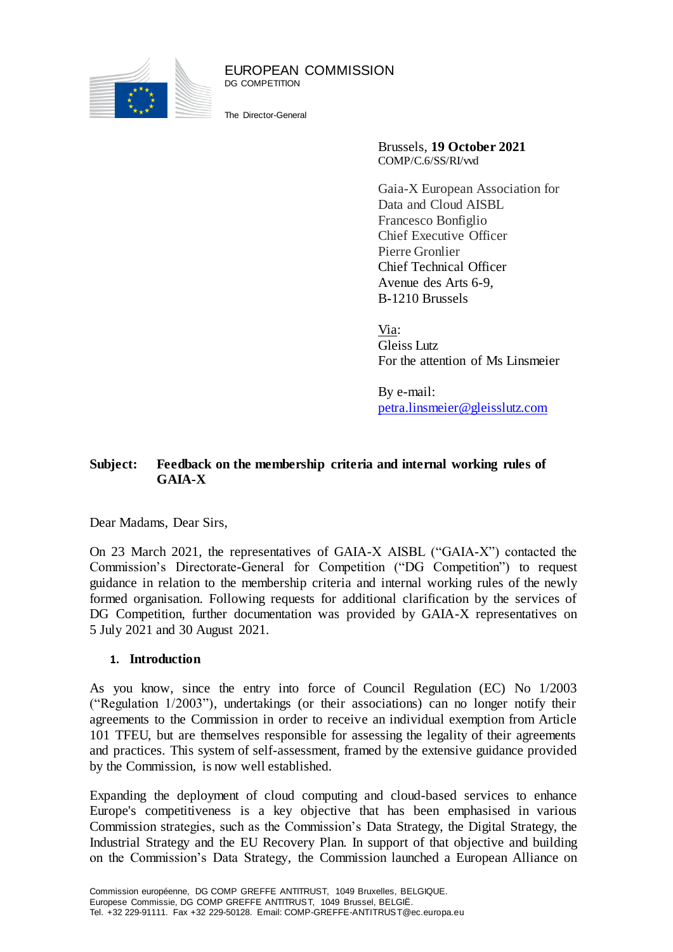

EUROPEAN COMMISSION DG COMPETITION

The Director-General

Brussels, **19 October 2021** COMP/C.6/SS/RI/vvd

Gaia-X European Association for Data and Cloud AISBL Francesco Bonfiglio Chief Executive Officer Pierre Gronlier Chief Technical Officer Avenue des Arts 6-9, B-1210 Brussels

Via: Gleiss Lutz For the attention of Ms Linsmeier

By e-mail: [petra.linsmeier@gleisslutz.com](mailto:petra.linsmeier@gleisslutz.com)

## **Subject: Feedback on the membership criteria and internal working rules of GAIA-X**

Dear Madams, Dear Sirs,

On 23 March 2021, the representatives of GAIA-X AISBL ("GAIA-X") contacted the Commission's Directorate-General for Competition ("DG Competition") to request guidance in relation to the membership criteria and internal working rules of the newly formed organisation. Following requests for additional clarification by the services of DG Competition, further documentation was provided by GAIA-X representatives on 5 July 2021 and 30 August 2021.

## **1. Introduction**

As you know, since the entry into force of Council Regulation (EC) No 1/2003 ("Regulation 1/2003"), undertakings (or their associations) can no longer notify their agreements to the Commission in order to receive an individual exemption from Article 101 TFEU, but are themselves responsible for assessing the legality of their agreements and practices. This system of self-assessment, framed by the extensive guidance provided by the Commission, is now well established.

Expanding the deployment of cloud computing and cloud-based services to enhance Europe's competitiveness is a key objective that has been emphasised in various Commission strategies, such as the Commission's Data Strategy, the Digital Strategy, the Industrial Strategy and the EU Recovery Plan. In support of that objective and building on the Commission's Data Strategy, the Commission launched a [European Alliance on](https://digital-strategy.ec.europa.eu/en/policies/cloud-alliance)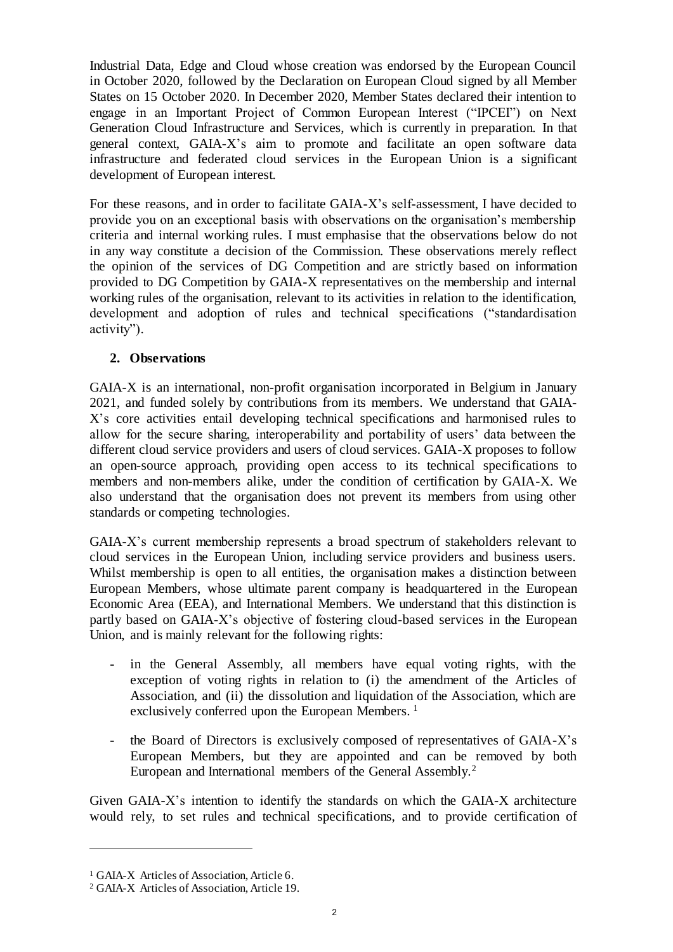[Industrial Data, Edge and Cloud](https://digital-strategy.ec.europa.eu/en/policies/cloud-alliance) whose creation was endorsed by the European Council in October 2020, followed by the [Declaration on European Cloud](https://digital-strategy.ec.europa.eu/en/news/towards-next-generation-cloud-europe) signed by all Member States on 15 October 2020. In December 2020, Member States declared their intention to engage in an Important Project of Common European Interest ("IPCEI") on Next Generation Cloud Infrastructure and Services, which is currently in preparation. In that general context, GAIA-X's aim to promote and facilitate an open software data infrastructure and federated cloud services in the European Union is a significant development of European interest.

For these reasons, and in order to facilitate GAIA-X's self-assessment, I have decided to provide you on an exceptional basis with observations on the organisation's membership criteria and internal working rules. I must emphasise that the observations below do not in any way constitute a decision of the Commission. These observations merely reflect the opinion of the services of DG Competition and are strictly based on information provided to DG Competition by GAIA-X representatives on the membership and internal working rules of the organisation, relevant to its activities in relation to the identification, development and adoption of rules and technical specifications ("standardisation activity").

## **2. Observations**

GAIA-X is an international, non-profit organisation incorporated in Belgium in January 2021, and funded solely by contributions from its members. We understand that GAIA-X's core activities entail developing technical specifications and harmonised rules to allow for the secure sharing, interoperability and portability of users' data between the different cloud service providers and users of cloud services. GAIA-X proposes to follow an open-source approach, providing open access to its technical specifications to members and non-members alike, under the condition of certification by GAIA-X. We also understand that the organisation does not prevent its members from using other standards or competing technologies.

GAIA-X's current membership represents a broad spectrum of stakeholders relevant to cloud services in the European Union, including service providers and business users. Whilst membership is open to all entities, the organisation makes a distinction between European Members, whose ultimate parent company is headquartered in the European Economic Area (EEA), and International Members. We understand that this distinction is partly based on GAIA-X's objective of fostering cloud-based services in the European Union, and is mainly relevant for the following rights:

- in the General Assembly, all members have equal voting rights, with the exception of voting rights in relation to (i) the amendment of the Articles of Association, and (ii) the dissolution and liquidation of the Association, which are exclusively conferred upon the European Members.<sup>1</sup>
- the Board of Directors is exclusively composed of representatives of GAIA-X's European Members, but they are appointed and can be removed by both European and International members of the General Assembly.<sup>2</sup>

Given GAIA-X's intention to identify the standards on which the GAIA-X architecture would rely, to set rules and technical specifications, and to provide certification of

 $\overline{a}$ 

<sup>1</sup> GAIA-X Articles of Association, Article 6.

<sup>2</sup> GAIA-X Articles of Association, Article 19.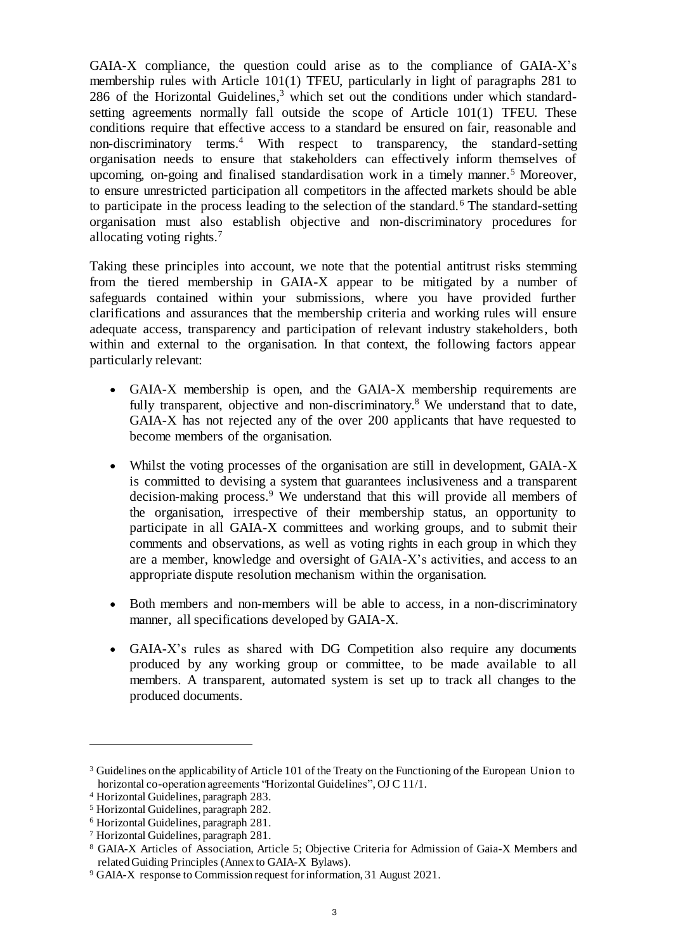GAIA-X compliance, the question could arise as to the compliance of GAIA-X's membership rules with Article 101(1) TFEU, particularly in light of paragraphs 281 to 286 of the Horizontal Guidelines, $3$  which set out the conditions under which standardsetting agreements normally fall outside the scope of Article 101(1) TFEU. These conditions require that effective access to a standard be ensured on fair, reasonable and non-discriminatory terms.<sup>4</sup> With respect to transparency, the standard-setting organisation needs to ensure that stakeholders can effectively inform themselves of upcoming, on-going and finalised standardisation work in a timely manner.<sup>5</sup> Moreover, to ensure unrestricted participation all competitors in the affected markets should be able to participate in the process leading to the selection of the standard.<sup>6</sup> The standard-setting organisation must also establish objective and non-discriminatory procedures for allocating voting rights.<sup>7</sup>

Taking these principles into account, we note that the potential antitrust risks stemming from the tiered membership in GAIA-X appear to be mitigated by a number of safeguards contained within your submissions, where you have provided further clarifications and assurances that the membership criteria and working rules will ensure adequate access, transparency and participation of relevant industry stakeholders, both within and external to the organisation. In that context, the following factors appear particularly relevant:

- GAIA-X membership is open, and the GAIA-X membership requirements are fully transparent, objective and non-discriminatory.<sup>8</sup> We understand that to date, GAIA-X has not rejected any of the over 200 applicants that have requested to become members of the organisation.
- Whilst the voting processes of the organisation are still in development, GAIA-X is committed to devising a system that guarantees inclusiveness and a transparent decision-making process.<sup>9</sup> We understand that this will provide all members of the organisation, irrespective of their membership status, an opportunity to participate in all GAIA-X committees and working groups, and to submit their comments and observations, as well as voting rights in each group in which they are a member, knowledge and oversight of GAIA-X's activities, and access to an appropriate dispute resolution mechanism within the organisation.
- Both members and non-members will be able to access, in a non-discriminatory manner, all specifications developed by GAIA-X.
- GAIA-X's rules as shared with DG Competition also require any documents produced by any working group or committee, to be made available to all members. A transparent, automated system is set up to track all changes to the produced documents.

 $\overline{a}$ 

<sup>3</sup> Guidelines on the applicability of Article 101 of the Treaty on the Functioning of the European Union to horizontal co-operation agreements "Horizontal Guidelines", OJ C 11/1.

<sup>4</sup> Horizontal Guidelines, paragraph 283.

<sup>5</sup> Horizontal Guidelines, paragraph 282.

<sup>6</sup> Horizontal Guidelines, paragraph 281.

<sup>7</sup> Horizontal Guidelines, paragraph 281.

<sup>8</sup> GAIA-X Articles of Association, Article 5; Objective Criteria for Admission of Gaia-X Members and related Guiding Principles (Annex to GAIA-X Bylaws).

<sup>9</sup> GAIA-X response to Commission request for information, 31 August 2021.